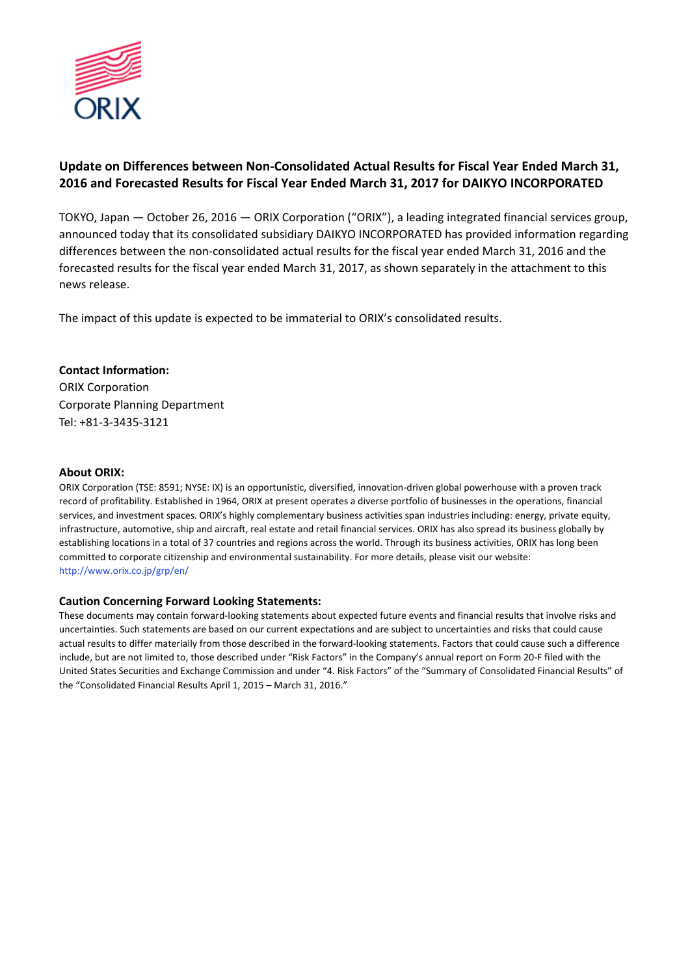

## **Update on Differences between Non-Consolidated Actual Results for Fiscal Year Ended March 31, 2016 and Forecasted Results for Fiscal Year Ended March 31, 2017 for DAIKYO INCORPORATED**

TOKYO, Japan — October 26, 2016 — ORIX Corporation ("ORIX"), a leading integrated financial services group, announced today that its consolidated subsidiary DAIKYO INCORPORATED has provided information regarding differences between the non-consolidated actual results for the fiscal year ended March 31, 2016 and the forecasted results for the fiscal year ended March 31, 2017, as shown separately in the attachment to this news release.

The impact of this update is expected to be immaterial to ORIX's consolidated results.

### **Contact Information:**

ORIX Corporation Corporate Planning Department Tel: +81-3-3435-3121

#### **About ORIX:**

ORIX Corporation (TSE: 8591; NYSE: IX) is an opportunistic, diversified, innovation-driven global powerhouse with a proven track record of profitability. Established in 1964, ORIX at present operates a diverse portfolio of businesses in the operations, financial services, and investment spaces. ORIX's highly complementary business activities span industries including: energy, private equity, infrastructure, automotive, ship and aircraft, real estate and retail financial services. ORIX has also spread its business globally by establishing locations in a total of 37 countries and regions across the world. Through its business activities, ORIX has long been committed to corporate citizenship and environmental sustainability. For more details, please visit our website: http://www.orix.co.jp/grp/en/

#### **Caution Concerning Forward Looking Statements:**

These documents may contain forward-looking statements about expected future events and financial results that involve risks and uncertainties. Such statements are based on our current expectations and are subject to uncertainties and risks that could cause actual results to differ materially from those described in the forward-looking statements. Factors that could cause such a difference include, but are not limited to, those described under "Risk Factors" in the Company's annual report on Form 20-F filed with the United States Securities and Exchange Commission and under "4. Risk Factors" of the "Summary of Consolidated Financial Results" of the "Consolidated Financial Results April 1, 2015 – March 31, 2016."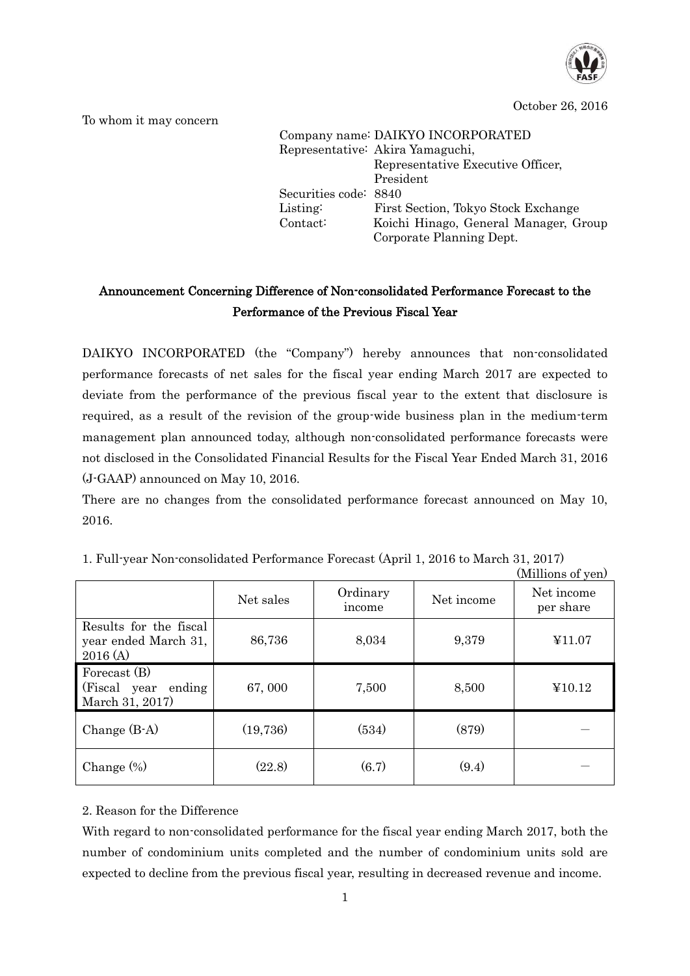

October 26, 2016

To whom it may concern

|                       | Company name: DAIKYO INCORPORATED     |
|-----------------------|---------------------------------------|
|                       | Representative: Akira Yamaguchi,      |
|                       | Representative Executive Officer,     |
|                       | President                             |
| Securities code: 8840 |                                       |
| Listing:              | First Section, Tokyo Stock Exchange   |
| Contact:              | Koichi Hinago, General Manager, Group |
|                       | Corporate Planning Dept.              |

# Announcement Concerning Difference of Non-consolidated Performance Forecast to the Performance of the Previous Fiscal Year

DAIKYO INCORPORATED (the "Company") hereby announces that non-consolidated performance forecasts of net sales for the fiscal year ending March 2017 are expected to deviate from the performance of the previous fiscal year to the extent that disclosure is required, as a result of the revision of the group-wide business plan in the medium-term management plan announced today, although non-consolidated performance forecasts were not disclosed in the Consolidated Financial Results for the Fiscal Year Ended March 31, 2016 (J-GAAP) announced on May 10, 2016.

There are no changes from the consolidated performance forecast announced on May 10, 2016.

|                                                            | Net sales | Ordinary<br>income | Net income | Net income<br>per share |
|------------------------------------------------------------|-----------|--------------------|------------|-------------------------|
| Results for the fiscal<br>year ended March 31,<br>2016(A)  | 86,736    | 8,034              | 9,379      | ¥11.07                  |
| Forecast (B)<br>(Fiscal year)<br>ending<br>March 31, 2017) | 67,000    | 7,500              | 8,500      | ¥10.12                  |
| Change $(B-A)$                                             | (19,736)  | (534)              | (879)      |                         |
| Change $(\%)$                                              | (22.8)    | (6.7)              | (9.4)      |                         |

1. Full-year Non-consolidated Performance Forecast (April 1, 2016 to March 31, 2017)

(Millions of yen)

#### 2. Reason for the Difference

With regard to non-consolidated performance for the fiscal year ending March 2017, both the number of condominium units completed and the number of condominium units sold are expected to decline from the previous fiscal year, resulting in decreased revenue and income.